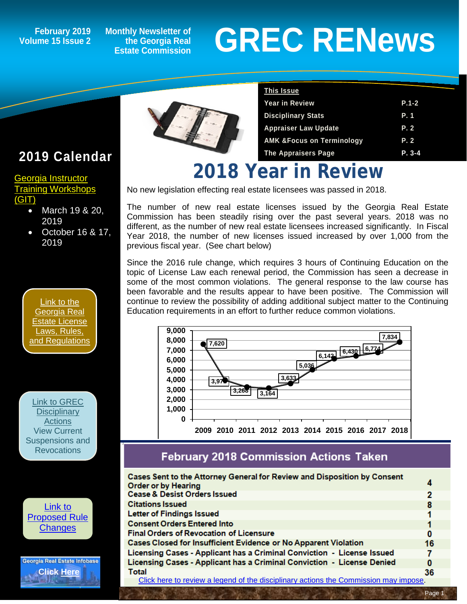### **Volume 15 Issue 2**

**Monthly Newsletter of the Georgia Real Estate Commission**

# February 2019 Monthly Newsletter of<br> **GREC RENEWS**<br>
Estate Commission<br>
Estate Commission



| <b>This Issue</b>                    |           |
|--------------------------------------|-----------|
| <b>Year in Review</b>                | $P.1 - 2$ |
| <b>Disciplinary Stats</b>            | P. 1      |
| <b>Appraiser Law Update</b>          | P.2       |
| <b>AMK &amp;Focus on Terminology</b> | P.2       |
| <b>The Appraisers Page</b>           | P. 3-4    |

## **2018 Year in Review**

No new legislation effecting real estate licensees was passed in 2018.

The number of new real estate licenses issued by the Georgia Real Estate Commission has been steadily rising over the past several years. 2018 was no different, as the number of new real estate licensees increased significantly. In Fiscal Year 2018, the number of new licenses issued increased by over 1,000 from the previous fiscal year. (See chart below)

Since the 2016 rule change, which requires 3 hours of Continuing Education on the topic of License Law each renewal period, the Commission has seen a decrease in some of the most common violations. The general response to the law course has been favorable and the results appear to have been positive. The Commission will continue to review the possibility of adding additional subject matter to the Continuing Education requirements in an effort to further reduce common violations.



#### **February 2018 Commission Actions Taken**

| Cases Sent to the Attorney General for Review and Disposition by Consent<br><b>Order or by Hearing</b> |    |
|--------------------------------------------------------------------------------------------------------|----|
| <b>Cease &amp; Desist Orders Issued</b>                                                                | 2  |
| <b>Citations Issued</b>                                                                                | 8  |
| <b>Letter of Findings Issued</b>                                                                       |    |
| <b>Consent Orders Entered Into</b>                                                                     |    |
| <b>Final Orders of Revocation of Licensure</b>                                                         | 0  |
| Cases Closed for Insufficient Evidence or No Apparent Violation                                        | 16 |
| Licensing Cases - Applicant has a Criminal Conviction - License Issued                                 |    |
| Licensing Cases - Applicant has a Criminal Conviction - License Denied                                 | 0  |
| <b>Total</b>                                                                                           | 36 |
| Oliak baya ta yawiguza lagand af tha dinginlingur gatigug tha Commission may impose                    |    |

#### [Click here to review a legend of the disciplinary actions the Commission may impose.](https://www.jmre.com/grec/GRECDisciplinaryTools.pdf)

#### **2019 Calendar**

#### [Georgia Instructor](http://www.grec-git.com/Instructor-Training/Current-GIT-Class-Schedule)  [Training Workshops](http://www.grec-git.com/Instructor-Training/Current-GIT-Class-Schedule)  [\(GIT\)](http://www.grec-git.com/Instructor-Training/Current-GIT-Class-Schedule)

- March 19 & 20, 2019
- October 16 & 17, 2019



[Link to GREC](http://www.grec.state.ga.us/about/resanctions.html)  **Disciplinary [Actions](http://www.grec.state.ga.us/about/resanctions.html)** View Current Suspensions and **Revocations** 



Georgia Real Estate Infobase **[Click Here](https://www.grec.state.ga.us/infobase/infobase.html)**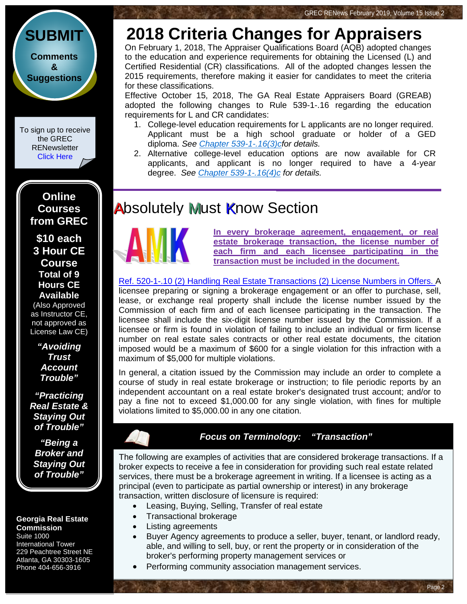

To sign up to receive the GREC **RENewsletter** [Click Here](https://www.grec.state.ga.us/about/subscribe.html)

> **Online Courses from GREC**

**[\\$10 each](http://www.jmre.com/grec) [3 Hour CE](http://www.jmre.com/grec)  [Course](http://www.jmre.com/grec) [Total of 9](http://www.jmre.com/grec)  [Hours CE](http://www.jmre.com/grec)  [Available](http://www.jmre.com/grec)**

[\(Also Approved](http://www.jmre.com/grec)  [as Instructor CE,](http://www.jmre.com/grec)  [not approved as](http://www.jmre.com/grec)  [License Law CE\)](http://www.jmre.com/grec)

> *["Avoiding](http://www.jmre.com/grec)  [Trust](http://www.jmre.com/grec)  [Account](http://www.jmre.com/grec)  [Trouble"](http://www.jmre.com/grec)*

*["Practicing](http://www.jmre.com/grec)  [Real Estate &](http://www.jmre.com/grec)  [Staying Out](http://www.jmre.com/grec)  [of Trouble"](http://www.jmre.com/grec)*

*["Being a](http://www.jmre.com/grec)  [Broker and](http://www.jmre.com/grec)  [Staying Out](http://www.jmre.com/grec)  [of Trouble"](http://www.jmre.com/grec)*

#### **Georgia Real Estate Commission** Suite 1000

International Tower 229 Peachtree Street NE Atlanta, GA 30303-1605 Phone 404-656-3916

### **2018 Criteria Changes for Appraisers**

On February 1, 2018, The Appraiser Qualifications Board (AQB) adopted changes to the education and experience requirements for obtaining the Licensed (L) and Certified Residential (CR) classifications. All of the adopted changes lessen the 2015 requirements, therefore making it easier for candidates to meet the criteria for these classifications.

Effective October 15, 2018, The GA Real Estate Appraisers Board (GREAB) adopted the following changes to Rule 539-1-.16 regarding the education requirements for L and CR candidates:

- 1. College-level education requirements for L applicants are no longer required. Applicant must be a high school graduate or holder of a GED diploma. *See [Chapter 539-1-.16\(3\)cf](http://rules.sos.ga.gov/GAC/539-1-.16v2)or details.*
- 2. Alternative college-level education options are now available for CR applicants, and applicant is no longer required to have a 4-year degree. *See [Chapter 539-1-.16\(4\)c](http://rules.sos.ga.gov/GAC/539-1-.16v2) for details.*

#### **Absolutely Must Know Section**



**In every brokerage agreement, engagement, or real estate brokerage transaction, the license number of each firm and each licensee participating in the transaction must be included in the document.**

[Ref. 520-1-.10 \(2\) Handling Real Estate Transactions](http://www.grec.state.ga.us/about/relaw.html) (2) License Numbers in Offers. A licensee preparing or signing a brokerage engagement or an offer to purchase, sell, lease, or exchange real property shall include the license number issued by the Commission of each firm and of each licensee participating in the transaction. The licensee shall include the six-digit license number issued by the Commission. If a licensee or firm is found in violation of failing to include an individual or firm license number on real estate sales contracts or other real estate documents, the citation imposed would be a maximum of \$600 for a single violation for this infraction with a maximum of \$5,000 for multiple violations.

In general, a citation issued by the Commission may include an order to complete a course of study in real estate brokerage or instruction; to file periodic reports by an independent accountant on a real estate broker's designated trust account; and/or to pay a fine not to exceed \$1,000.00 for any single violation, with fines for multiple violations limited to \$5,000.00 in any one citation.

#### *Focus on Terminology: "Transaction"*

The following are examples of activities that are considered brokerage transactions. If a broker expects to receive a fee in consideration for providing such real estate related services, there must be a brokerage agreement in writing. If a licensee is acting as a principal (even to participate as partial ownership or interest) in any brokerage transaction, written disclosure of licensure is required:

- Leasing, Buying, Selling, Transfer of real estate
- Transactional brokerage
- Listing agreements
- Buyer Agency agreements to produce a seller, buyer, tenant, or landlord ready, able, and willing to sell, buy, or rent the property or in consideration of the broker's performing property management services or

Page 2

Performing community association management services.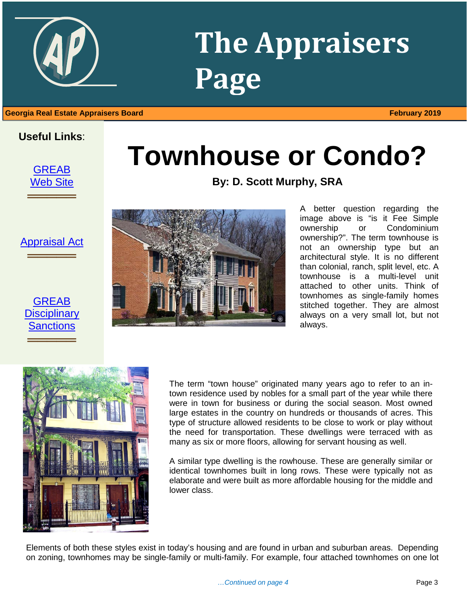## **The Appraisers Page**

#### 1 **Georgia Real Estate Appraisers Board February 2019**

#### **Useful Links**:

**[GREAB](http://www.grec.state.ga.us/about/greab.html)** [Web Site](http://www.grec.state.ga.us/about/greab.html) ═════════════════<br>══════════════════

[Appraisal Act](http://www.grec.state.ga.us/about/appraisersact.html) ═════════════════<br>══════════════════

#### **GREAB Disciplinary [Sanctions](http://www.grec.state.ga.us/about/apprsanctions.html)** ═════════════════<br>══════════════════



**By: D. Scott Murphy, SRA**



A better question regarding the image above is "is it Fee Simple ownership or Condominium ownership?". The term townhouse is not an ownership type but an architectural style. It is no different than colonial, ranch, split level, etc. A townhouse is a multi-level unit attached to other units. Think of townhomes as single-family homes stitched together. They are almost always on a very small lot, but not always.



The term "town house" originated many years ago to refer to an intown residence used by nobles for a small part of the year while there were in town for business or during the social season. Most owned large estates in the country on hundreds or thousands of acres. This type of structure allowed residents to be close to work or play without the need for transportation. These dwellings were terraced with as many as six or more floors, allowing for servant housing as well.

A similar type dwelling is the rowhouse. These are generally similar or identical townhomes built in long rows. These were typically not as elaborate and were built as more affordable housing for the middle and lower class.

Elements of both these styles exist in today's housing and are found in urban and suburban areas. Depending on zoning, townhomes may be single-family or multi-family. For example, four attached townhomes on one lot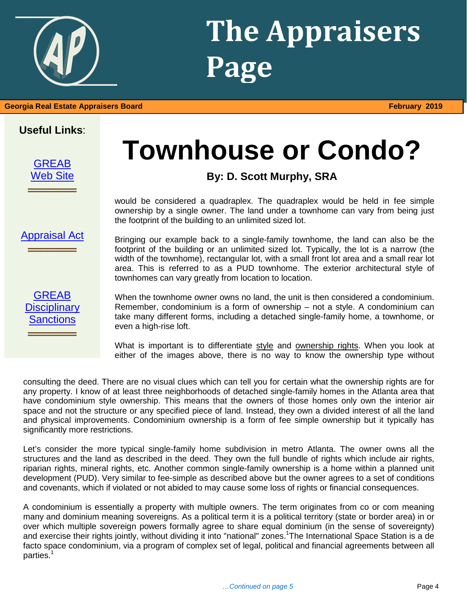## **The Appraisers Page**

## **Useful Links**:

[GREAB](http://www.grec.state.ga.us/about/greab.html) [Web Site](http://www.grec.state.ga.us/about/greab.html) **════**══════

## **Townhouse or Condo?**

#### **By: D. Scott Murphy, SRA**

would be considered a quadraplex. The quadraplex would be held in fee simple ownership by a single owner. The land under a townhome can vary from being just the footprint of the building to an unlimited sized lot.

[Appraisal Act](http://www.grec.state.ga.us/about/appraisersact.html)

**════**══════

**GREAB Disciplinary [Sanctions](http://www.grec.state.ga.us/about/apprsanctions.html) ════**══════

Bringing our example back to a single-family townhome, the land can also be the footprint of the building or an unlimited sized lot. Typically, the lot is a narrow (the width of the townhome), rectangular lot, with a small front lot area and a small rear lot area. This is referred to as a PUD townhome. The exterior architectural style of townhomes can vary greatly from location to location.

When the townhome owner owns no land, the unit is then considered a condominium. Remember, condominium is a form of ownership – not a style. A condominium can take many different forms, including a detached single-family home, a townhome, or even a high-rise loft.

What is important is to differentiate style and ownership rights. When you look at either of the images above, there is no way to know the ownership type without

consulting the deed. There are no visual clues which can tell you for certain what the ownership rights are for any property. I know of at least three neighborhoods of detached single-family homes in the Atlanta area that have condominium style ownership. This means that the owners of those homes only own the interior air space and not the structure or any specified piece of land. Instead, they own a divided interest of all the land and physical improvements. Condominium ownership is a form of fee simple ownership but it typically has significantly more restrictions.

Let's consider the more typical single-family home subdivision in metro Atlanta. The owner owns all the structures and the land as described in the deed. They own the full bundle of rights which include air rights, riparian rights, mineral rights, etc. Another common single-family ownership is a home within a planned unit development (PUD). Very similar to fee-simple as described above but the owner agrees to a set of conditions and covenants, which if violated or not abided to may cause some loss of rights or financial consequences.

A condominium is essentially a property with multiple owners. The term originates from co or com meaning many and dominium meaning sovereigns. As a political term it is a political territory (state or border area) in or over which multiple sovereign powers formally agree to share equal dominium (in the sense of sovereignty) and exercise their rights jointly, without dividing it into "national" zones.<sup>1</sup>The International Space Station is a de facto space condominium, via a program of complex set of legal, political and financial agreements between all parties.1